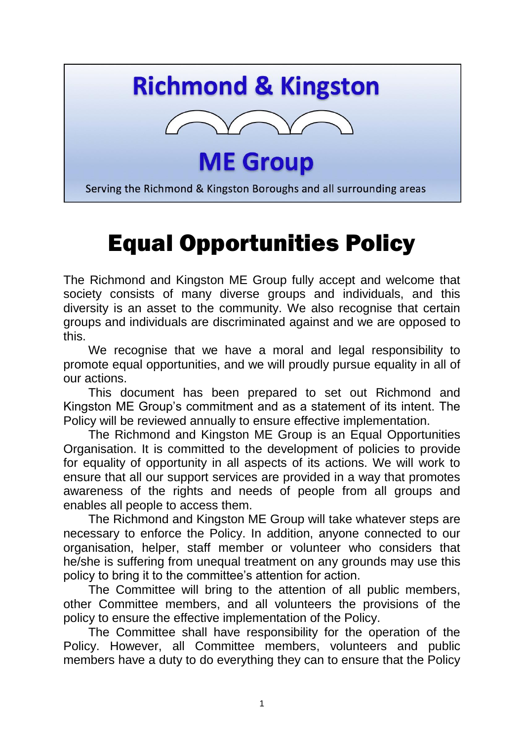## **Richmond & Kingston**



**ME Group** 

Serving the Richmond & Kingston Boroughs and all surrounding areas

## Equal Opportunities Policy

The Richmond and Kingston ME Group fully accept and welcome that society consists of many diverse groups and individuals, and this diversity is an asset to the community. We also recognise that certain groups and individuals are discriminated against and we are opposed to this.

We recognise that we have a moral and legal responsibility to promote equal opportunities, and we will proudly pursue equality in all of our actions.

This document has been prepared to set out Richmond and Kingston ME Group's commitment and as a statement of its intent. The Policy will be reviewed annually to ensure effective implementation.

The Richmond and Kingston ME Group is an Equal Opportunities Organisation. It is committed to the development of policies to provide for equality of opportunity in all aspects of its actions. We will work to ensure that all our support services are provided in a way that promotes awareness of the rights and needs of people from all groups and enables all people to access them.

The Richmond and Kingston ME Group will take whatever steps are necessary to enforce the Policy. In addition, anyone connected to our organisation, helper, staff member or volunteer who considers that he/she is suffering from unequal treatment on any grounds may use this policy to bring it to the committee's attention for action.

The Committee will bring to the attention of all public members, other Committee members, and all volunteers the provisions of the policy to ensure the effective implementation of the Policy.

The Committee shall have responsibility for the operation of the Policy. However, all Committee members, volunteers and public members have a duty to do everything they can to ensure that the Policy